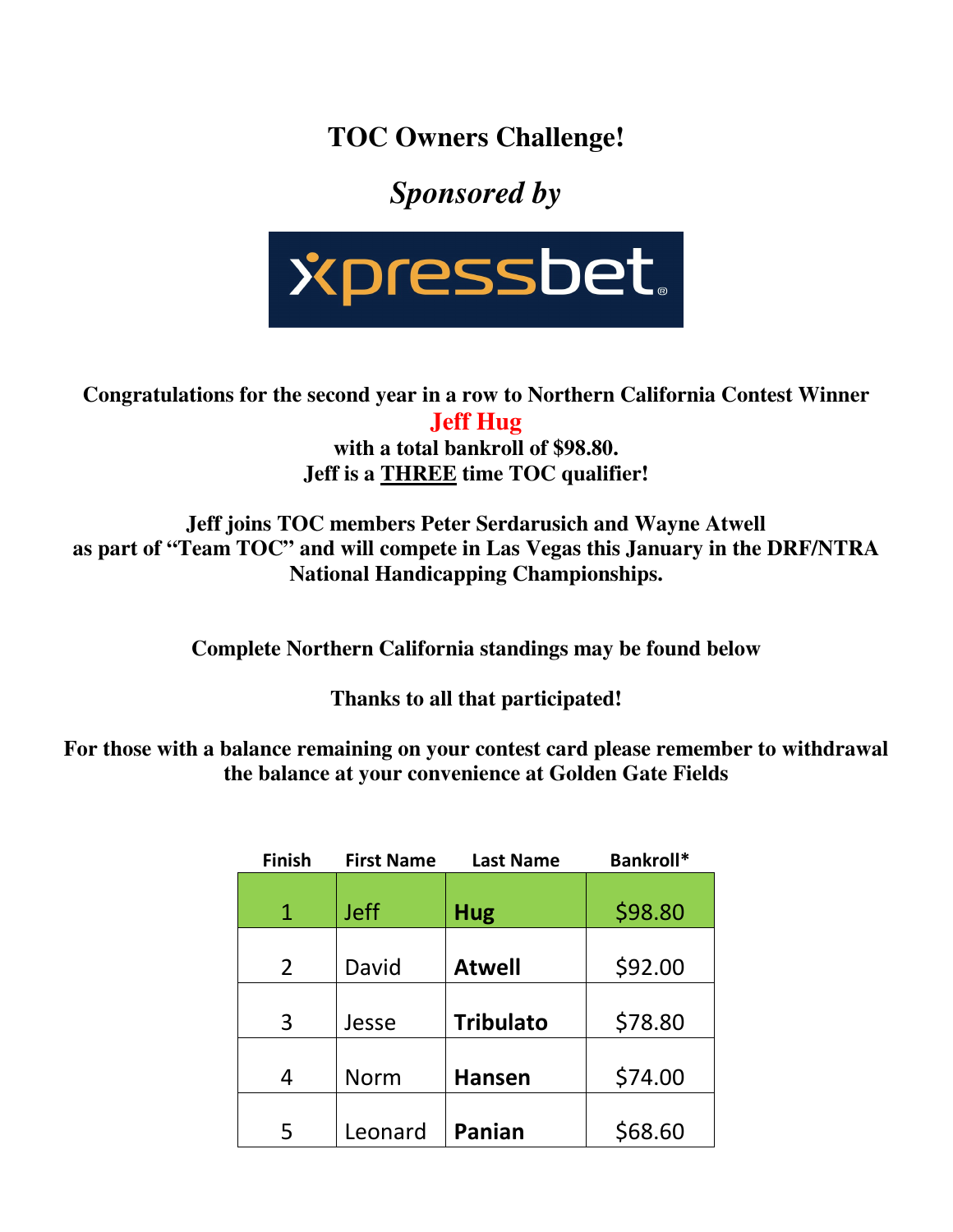**TOC Owners Challenge!** 

## *Sponsored by*



**Congratulations for the second year in a row to Northern California Contest Winner Jeff Hug** 

**with a total bankroll of \$98.80. Jeff is a THREE time TOC qualifier!** 

**Jeff joins TOC members Peter Serdarusich and Wayne Atwell as part of "Team TOC" and will compete in Las Vegas this January in the DRF/NTRA National Handicapping Championships.** 

**Complete Northern California standings may be found below** 

**Thanks to all that participated!** 

**For those with a balance remaining on your contest card please remember to withdrawal the balance at your convenience at Golden Gate Fields** 

| <b>Finish</b>  | <b>First Name</b> | <b>Last Name</b> | Bankroll* |
|----------------|-------------------|------------------|-----------|
| 1              | <b>Jeff</b>       | <b>Hug</b>       | \$98.80   |
| $\overline{2}$ | David             | <b>Atwell</b>    | \$92.00   |
| 3              | Jesse             | <b>Tribulato</b> | \$78.80   |
| 4              | <b>Norm</b>       | <b>Hansen</b>    | \$74.00   |
| 5              | Leonard           | Panian           | \$68.60   |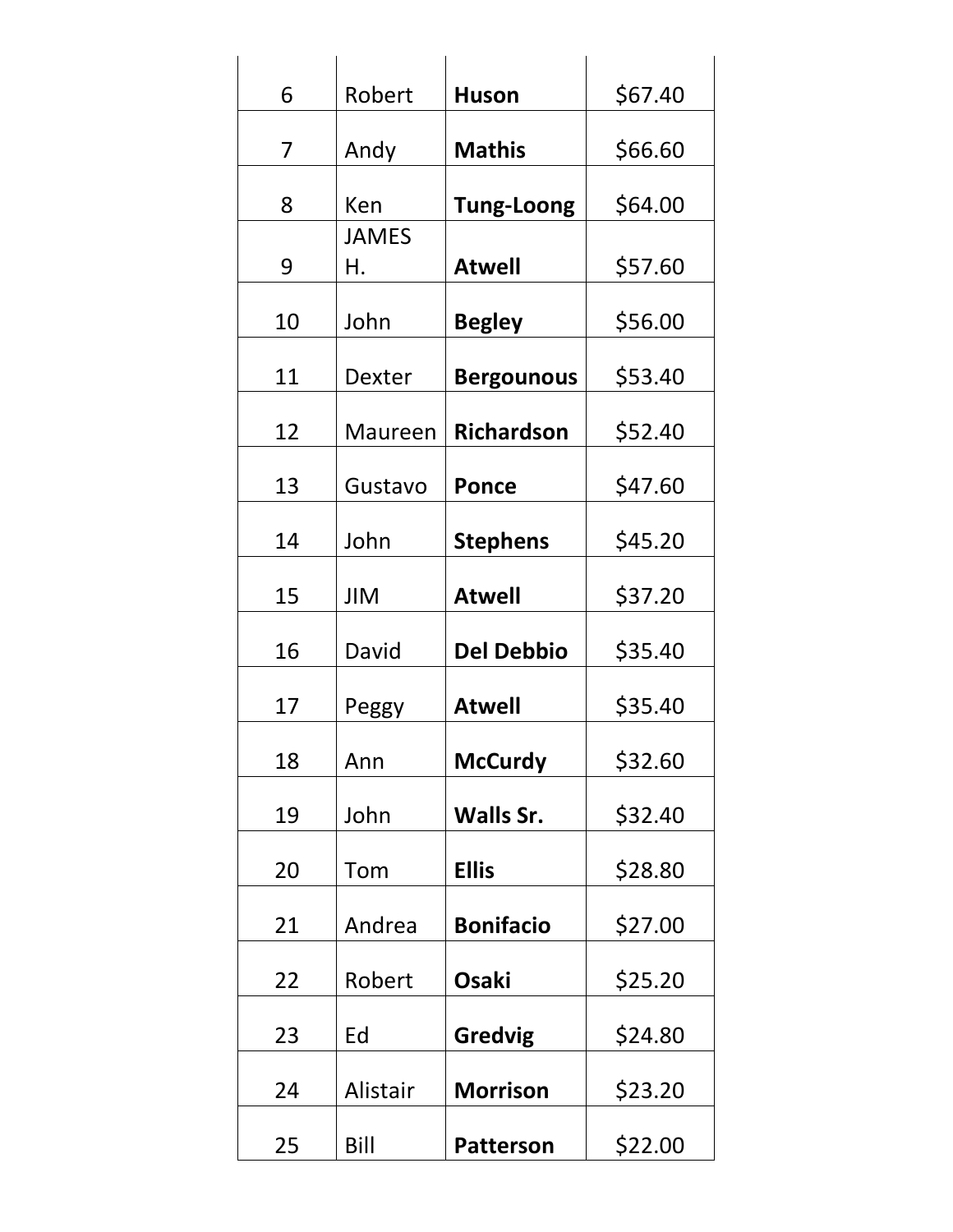| 6  | Robert         | <b>Huson</b>      | \$67.40 |
|----|----------------|-------------------|---------|
| 7  | Andy           | <b>Mathis</b>     | \$66.60 |
| 8  | Ken            | <b>Tung-Loong</b> | \$64.00 |
| 9  | JAMES<br>Η.    | <b>Atwell</b>     | \$57.60 |
| 10 | John           | <b>Begley</b>     | \$56.00 |
| 11 | <b>Dexter</b>  | <b>Bergounous</b> | \$53.40 |
| 12 | <b>Maureen</b> | <b>Richardson</b> | \$52.40 |
| 13 | Gustavo        | <b>Ponce</b>      | \$47.60 |
| 14 | John           | <b>Stephens</b>   | \$45.20 |
| 15 | <b>JIM</b>     | <b>Atwell</b>     | \$37.20 |
| 16 | David          | <b>Del Debbio</b> | \$35.40 |
| 17 | Peggy          | <b>Atwell</b>     | \$35.40 |
| 18 | Ann            | <b>McCurdy</b>    | \$32.60 |
| 19 | John           | Walls Sr.         | \$32.40 |
| 20 | Tom            | <b>Ellis</b>      | \$28.80 |
| 21 | Andrea         | <b>Bonifacio</b>  | \$27.00 |
| 22 | Robert         | <b>Osaki</b>      | \$25.20 |
| 23 | Ed             | <b>Gredvig</b>    | \$24.80 |
| 24 | Alistair       | <b>Morrison</b>   | \$23.20 |
| 25 | Bill           | <b>Patterson</b>  | \$22.00 |